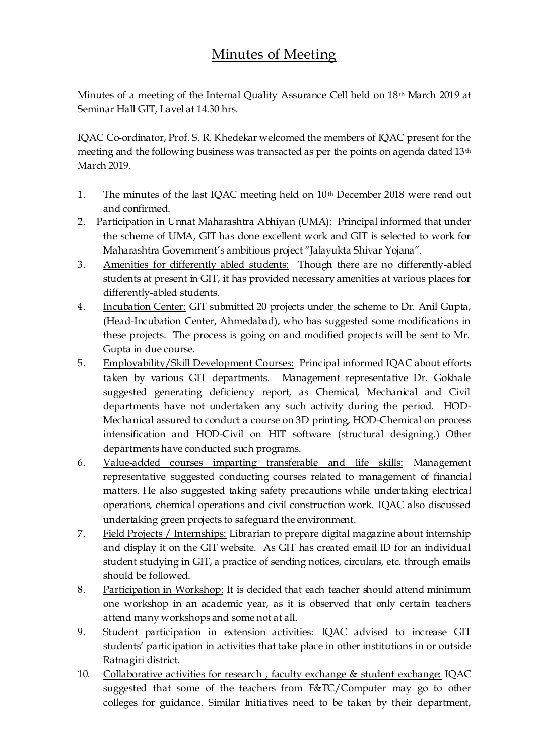## Minutes of Meeting

Minutes of a meeting of the Internal Quality Assurance Cell held on 18th March 2019 at Seminar Hall GIT, Lavel at 14.30 hrs.

IQAC Co-ordinator, Prof. S. R. Khedekar welcomed the members of IQAC present for the meeting and the following business was transacted as per the points on agenda dated 13th March 2019.

- 1. The minutes of the last IQAC meeting held on  $10<sup>th</sup>$  December 2018 were read out and confirmed.
- 2. Participation in Unnat Maharashtra Abhiyan (UMA): Principal informed that under the scheme of UMA, GIT has done excellent work and GIT is selected to work for Maharashtra Government's ambitious project "Jalayukta Shivar Yojana".
- 3. Amenities for differently abled students: Though there are no differently-abled students at present in GIT, it has provided necessary amenities at various places for differently-abled students.
- 4. Incubation Center: GIT submitted 20 projects under the scheme to Dr. Anil Gupta, (Head-Incubation Center, Ahmedabad), who has suggested some modifications in these projects. The process is going on and modified projects will be sent to Mr. Gupta in due course.
- 5. Employability/Skill Development Courses: Principal informed IQAC about efforts taken by various GIT departments. Management representative Dr. Gokhale suggested generating deficiency report, as Chemical, Mechanical and Civil departments have not undertaken any such activity during the period. HOD-Mechanical assured to conduct a course on 3D printing, HOD-Chemical on process intensification and HOD-Civil on HIT software (structural designing.) Other departments have conducted such programs.
- 6. Value-added courses imparting transferable and life skills: Management representative suggested conducting courses related to management of financial matters. He also suggested taking safety precautions while undertaking electrical operations, chemical operations and civil construction work. IQAC also discussed undertaking green projects to safeguard the environment.
- 7. Field Projects / Internships: Librarian to prepare digital magazine about internship and display it on the GIT website. As GIT has created email ID for an individual student studying in GIT, a practice of sending notices, circulars, etc. through emails should be followed.
- 8. Participation in Workshop: It is decided that each teacher should attend minimum one workshop in an academic year, as it is observed that only certain teachers attend many workshops and some not at all.
- 9. Student participation in extension activities: IQAC advised to increase GIT students' participation in activities that take place in other institutions in or outside Ratnagiri district.
- 10. Collaborative activities for research , faculty exchange & student exchange: IQAC suggested that some of the teachers from E&TC/Computer may go to other colleges for guidance. Similar Initiatives need to be taken by their department,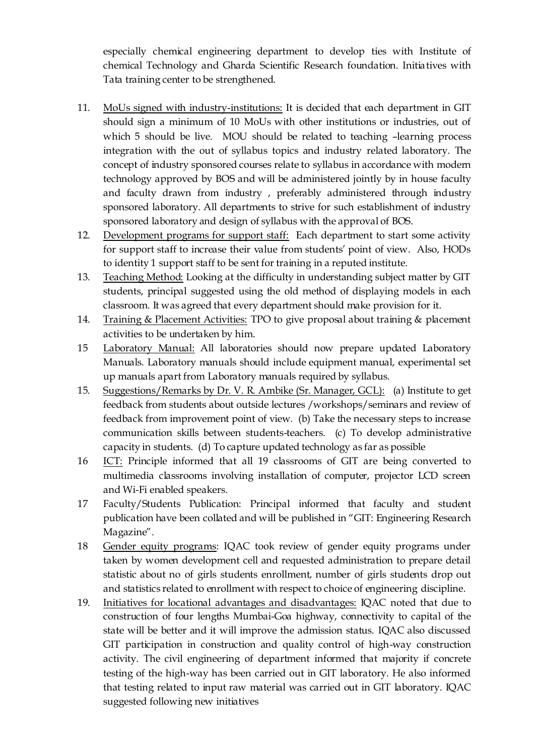especially chemical engineering department to develop ties with Institute of chemical Technology and Gharda Scientific Research foundation. Initiatives with Tata training center to be strengthened.

- 11. MoUs signed with industry-institutions: It is decided that each department in GIT should sign a minimum of 10 MoUs with other institutions or industries, out of which 5 should be live. MOU should be related to teaching –learning process integration with the out of syllabus topics and industry related laboratory. The concept of industry sponsored courses relate to syllabus in accordance with modern technology approved by BOS and will be administered jointly by in house faculty and faculty drawn from industry , preferably administered through industry sponsored laboratory. All departments to strive for such establishment of industry sponsored laboratory and design of syllabus with the approval of BOS.
- 12. Development programs for support staff: Each department to start some activity for support staff to increase their value from students' point of view. Also, HODs to identity 1 support staff to be sent for training in a reputed institute.
- 13. Teaching Method: Looking at the difficulty in understanding subject matter by GIT students, principal suggested using the old method of displaying models in each classroom. It was agreed that every department should make provision for it.
- 14. Training & Placement Activities: TPO to give proposal about training & placement activities to be undertaken by him.
- 15 Laboratory Manual: All laboratories should now prepare updated Laboratory Manuals. Laboratory manuals should include equipment manual, experimental set up manuals apart from Laboratory manuals required by syllabus.
- 15. Suggestions/Remarks by Dr. V. R. Ambike (Sr. Manager, GCL): (a) Institute to get feedback from students about outside lectures /workshops/seminars and review of feedback from improvement point of view. (b) Take the necessary steps to increase communication skills between students-teachers. (c) To develop administrative capacity in students. (d) To capture updated technology as far as possible
- 16 ICT: Principle informed that all 19 classrooms of GIT are being converted to multimedia classrooms involving installation of computer, projector LCD screen and Wi-Fi enabled speakers.
- 17 Faculty/Students Publication: Principal informed that faculty and student publication have been collated and will be published in "GIT: Engineering Research Magazine".
- 18 Gender equity programs: IQAC took review of gender equity programs under taken by women development cell and requested administration to prepare detail statistic about no of girls students enrollment, number of girls students drop out and statistics related to enrollment with respect to choice of engineering discipline.
- 19. Initiatives for locational advantages and disadvantages: IQAC noted that due to construction of four lengths Mumbai-Goa highway, connectivity to capital of the state will be better and it will improve the admission status. IQAC also discussed GIT participation in construction and quality control of high-way construction activity. The civil engineering of department informed that majority if concrete testing of the high-way has been carried out in GIT laboratory. He also informed that testing related to input raw material was carried out in GIT laboratory. IQAC suggested following new initiatives